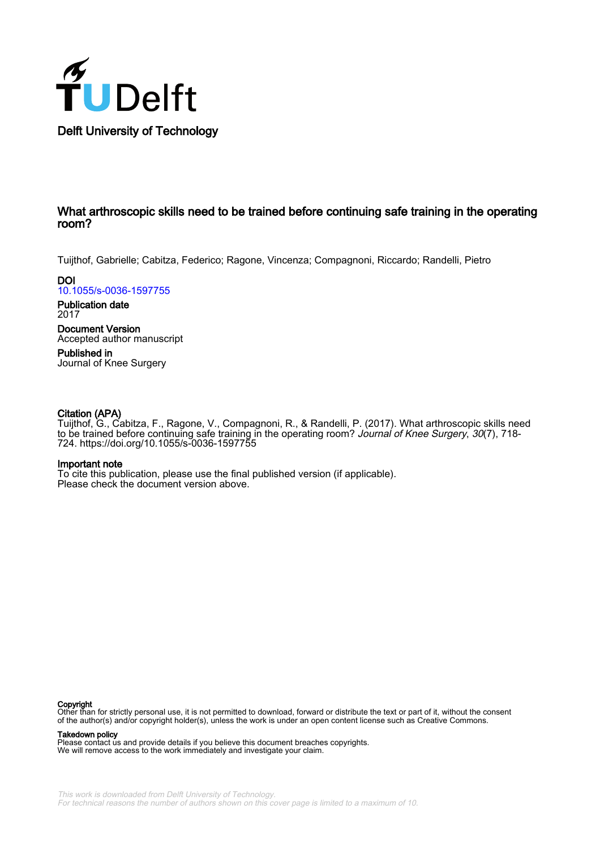

Delft University of Technology

#### What arthroscopic skills need to be trained before continuing safe training in the operating room?

Tuijthof, Gabrielle; Cabitza, Federico; Ragone, Vincenza; Compagnoni, Riccardo; Randelli, Pietro

**DOI** [10.1055/s-0036-1597755](https://doi.org/10.1055/s-0036-1597755)

Publication date 2017

Document Version Accepted author manuscript

Published in Journal of Knee Surgery

#### Citation (APA)

Tuijthof, G., Cabitza, F., Ragone, V., Compagnoni, R., & Randelli, P. (2017). What arthroscopic skills need to be trained before continuing safe training in the operating room? Journal of Knee Surgery, 30(7), 718-724.<https://doi.org/10.1055/s-0036-1597755>

#### Important note

To cite this publication, please use the final published version (if applicable). Please check the document version above.

#### Copyright

Other than for strictly personal use, it is not permitted to download, forward or distribute the text or part of it, without the consent of the author(s) and/or copyright holder(s), unless the work is under an open content license such as Creative Commons.

#### Takedown policy

Please contact us and provide details if you believe this document breaches copyrights. We will remove access to the work immediately and investigate your claim.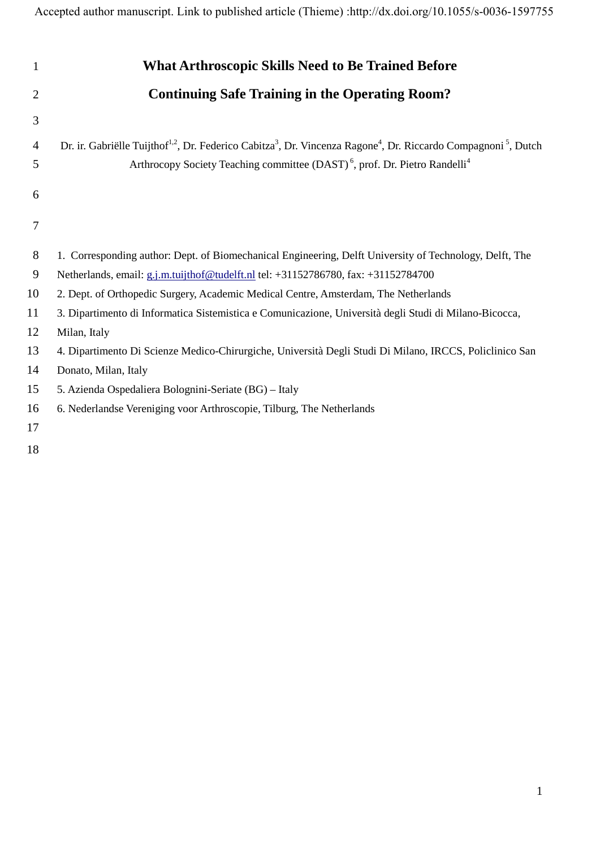Accepted author manuscript. Link to published article (Thieme) :http://dx.doi.org/10.1055/s-0036-1597755

| 1              | <b>What Arthroscopic Skills Need to Be Trained Before</b>                                                                                                       |
|----------------|-----------------------------------------------------------------------------------------------------------------------------------------------------------------|
| $\overline{2}$ | <b>Continuing Safe Training in the Operating Room?</b>                                                                                                          |
| 3              |                                                                                                                                                                 |
| 4              | Dr. ir. Gabriëlle Tuijthof <sup>1,2</sup> , Dr. Federico Cabitza <sup>3</sup> , Dr. Vincenza Ragone <sup>4</sup> , Dr. Riccardo Compagnoni <sup>5</sup> , Dutch |
| 5              | Arthrocopy Society Teaching committee (DAST) <sup>6</sup> , prof. Dr. Pietro Randelli <sup>4</sup>                                                              |
| 6              |                                                                                                                                                                 |
|                |                                                                                                                                                                 |
| 7              |                                                                                                                                                                 |
| 8              | 1. Corresponding author: Dept. of Biomechanical Engineering, Delft University of Technology, Delft, The                                                         |
| 9              | Netherlands, email: g.j.m.tuijthof@tudelft.nl tel: +31152786780, fax: +31152784700                                                                              |
| 10             | 2. Dept. of Orthopedic Surgery, Academic Medical Centre, Amsterdam, The Netherlands                                                                             |
| 11             | 3. Dipartimento di Informatica Sistemistica e Comunicazione, Università degli Studi di Milano-Bicocca,                                                          |
| 12             | Milan, Italy                                                                                                                                                    |
| 13             | 4. Dipartimento Di Scienze Medico-Chirurgiche, Università Degli Studi Di Milano, IRCCS, Policlinico San                                                         |
| 14             | Donato, Milan, Italy                                                                                                                                            |
| 15             | 5. Azienda Ospedaliera Bolognini-Seriate (BG) - Italy                                                                                                           |
| 16             | 6. Nederlandse Vereniging voor Arthroscopie, Tilburg, The Netherlands                                                                                           |
| 17             |                                                                                                                                                                 |
| 18             |                                                                                                                                                                 |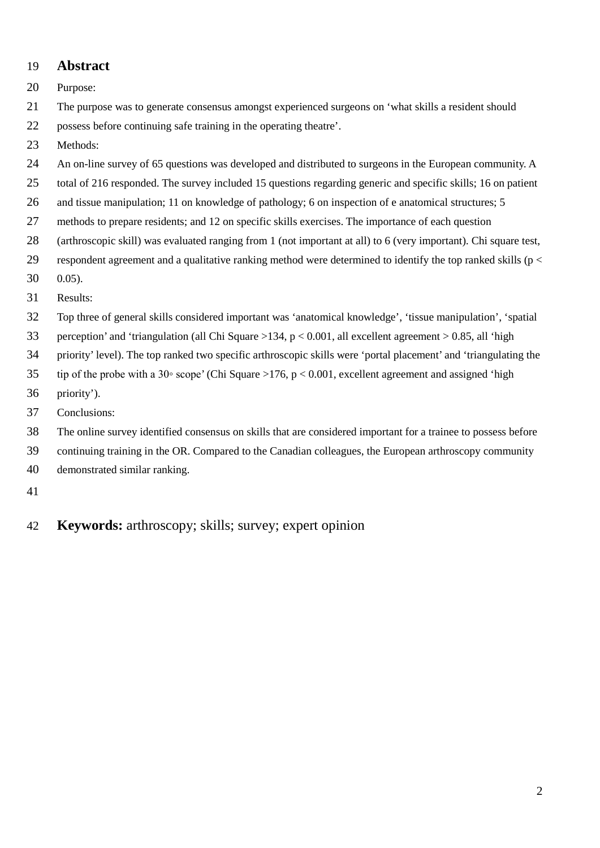## 19 **Abstract**

20 Purpose:

21 The purpose was to generate consensus amongst experienced surgeons on 'what skills a resident should

- 22 possess before continuing safe training in the operating theatre'.
- 23 Methods:
- 24 An on-line survey of 65 questions was developed and distributed to surgeons in the European community. A
- 25 total of 216 responded. The survey included 15 questions regarding generic and specific skills; 16 on patient
- 26 and tissue manipulation; 11 on knowledge of pathology; 6 on inspection of e anatomical structures; 5
- 27 methods to prepare residents; and 12 on specific skills exercises. The importance of each question
- 28 (arthroscopic skill) was evaluated ranging from 1 (not important at all) to 6 (very important). Chi square test,
- 29 respondent agreement and a qualitative ranking method were determined to identify the top ranked skills ( $p <$
- 30 0.05).
- 31 Results:
- 32 Top three of general skills considered important was 'anatomical knowledge', 'tissue manipulation', 'spatial
- 33 perception' and 'triangulation (all Chi Square >134, p < 0.001, all excellent agreement > 0.85, all 'high
- 34 priority' level). The top ranked two specific arthroscopic skills were 'portal placement' and 'triangulating the
- 35 tip of the probe with a 30◦ scope' (Chi Square >176, p < 0.001, excellent agreement and assigned 'high
- 36 priority').
- 37 Conclusions:
- 38 The online survey identified consensus on skills that are considered important for a trainee to possess before
- 39 continuing training in the OR. Compared to the Canadian colleagues, the European arthroscopy community
- 40 demonstrated similar ranking.
- 41
- 42 **Keywords:** arthroscopy; skills; survey; expert opinion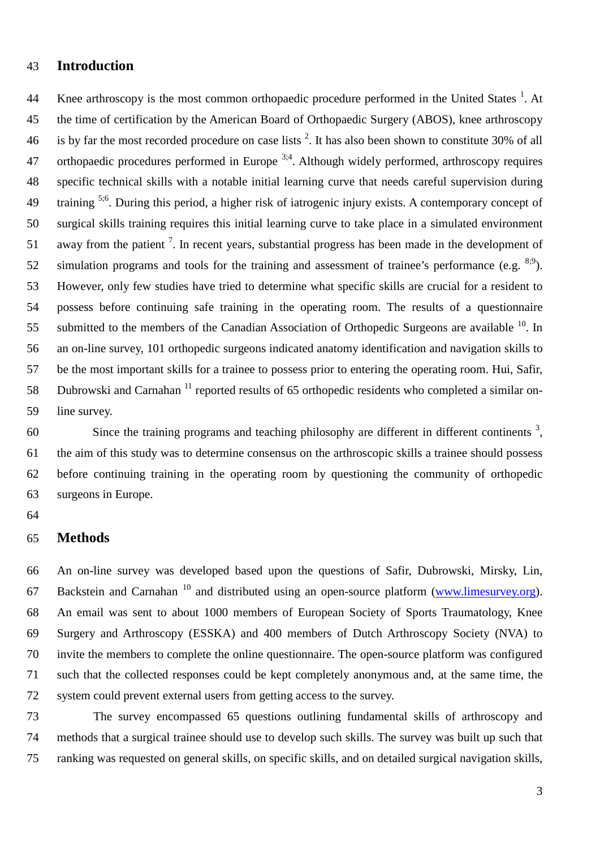# **Introduction**

44 Knee arthroscopy is the most common orthopaedic procedure performed in the United States  $<sup>1</sup>$ . At</sup> the time of certification by the American Board of Orthopaedic Surgery (ABOS), knee arthroscopy 46 is by far the most recorded procedure on case lists . It has also been shown to constitute 30% of all 47 orthopaedic procedures performed in Europe  $3,4$ . Although widely performed, arthroscopy requires specific technical skills with a notable initial learning curve that needs careful supervision during 49 training <sup>5;6</sup>. During this period, a higher risk of iatrogenic injury exists. A contemporary concept of surgical skills training requires this initial learning curve to take place in a simulated environment 51 away from the patient<sup>7</sup>. In recent years, substantial progress has been made in the development of 52 simulation programs and tools for the training and assessment of trainee's performance (e.g.  $^{8,9}$ ). However, only few studies have tried to determine what specific skills are crucial for a resident to possess before continuing safe training in the operating room. The results of a questionnaire 55 submitted to the members of the Canadian Association of Orthopedic Surgeons are available  $^{10}$ . In an on-line survey, 101 orthopedic surgeons indicated anatomy identification and navigation skills to be the most important skills for a trainee to possess prior to entering the operating room. Hui, Safir, 58 Dubrowski and Carnahan<sup>11</sup> reported results of 65 orthopedic residents who completed a similar on-line survey.

 $\sim$  Since the training programs and teaching philosophy are different in different continents  $\frac{3}{2}$ , the aim of this study was to determine consensus on the arthroscopic skills a trainee should possess before continuing training in the operating room by questioning the community of orthopedic surgeons in Europe.

## **Methods**

 An on-line survey was developed based upon the questions of Safir, Dubrowski, Mirsky, Lin, 67 Backstein and Carnahan and distributed using an open-source platform (www.limesurvey.org). An email was sent to about 1000 members of European Society of Sports Traumatology, Knee Surgery and Arthroscopy (ESSKA) and 400 members of Dutch Arthroscopy Society (NVA) to invite the members to complete the online questionnaire. The open-source platform was configured such that the collected responses could be kept completely anonymous and, at the same time, the system could prevent external users from getting access to the survey.

 The survey encompassed 65 questions outlining fundamental skills of arthroscopy and methods that a surgical trainee should use to develop such skills. The survey was built up such that ranking was requested on general skills, on specific skills, and on detailed surgical navigation skills,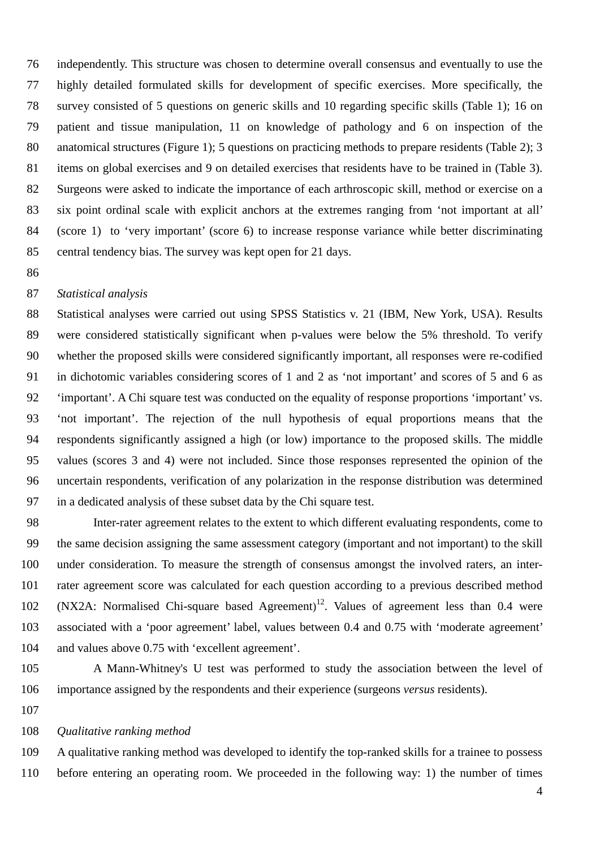independently. This structure was chosen to determine overall consensus and eventually to use the highly detailed formulated skills for development of specific exercises. More specifically, the survey consisted of 5 questions on generic skills and 10 regarding specific skills (Table 1); 16 on patient and tissue manipulation, 11 on knowledge of pathology and 6 on inspection of the anatomical structures (Figure 1); 5 questions on practicing methods to prepare residents (Table 2); 3 items on global exercises and 9 on detailed exercises that residents have to be trained in (Table 3). Surgeons were asked to indicate the importance of each arthroscopic skill, method or exercise on a six point ordinal scale with explicit anchors at the extremes ranging from 'not important at all' (score 1) to 'very important' (score 6) to increase response variance while better discriminating central tendency bias. The survey was kept open for 21 days.

## *Statistical analysis*

 Statistical analyses were carried out using SPSS Statistics v. 21 (IBM, New York, USA). Results were considered statistically significant when p-values were below the 5% threshold. To verify whether the proposed skills were considered significantly important, all responses were re-codified in dichotomic variables considering scores of 1 and 2 as 'not important' and scores of 5 and 6 as 'important'. A Chi square test was conducted on the equality of response proportions 'important' vs. 'not important'. The rejection of the null hypothesis of equal proportions means that the respondents significantly assigned a high (or low) importance to the proposed skills. The middle values (scores 3 and 4) were not included. Since those responses represented the opinion of the uncertain respondents, verification of any polarization in the response distribution was determined in a dedicated analysis of these subset data by the Chi square test.

 Inter-rater agreement relates to the extent to which different evaluating respondents, come to the same decision assigning the same assessment category (important and not important) to the skill under consideration. To measure the strength of consensus amongst the involved raters, an inter- rater agreement score was calculated for each question according to a previous described method 102 (NX2A: Normalised Chi-square based Agreement)<sup>12</sup>. Values of agreement less than 0.4 were associated with a 'poor agreement' label, values between 0.4 and 0.75 with 'moderate agreement' and values above 0.75 with 'excellent agreement'.

- A Mann-Whitney's U test was performed to study the association between the level of importance assigned by the respondents and their experience (surgeons *versus* residents).
- 

#### *Qualitative ranking method*

 A qualitative ranking method was developed to identify the top-ranked skills for a trainee to possess before entering an operating room. We proceeded in the following way: 1) the number of times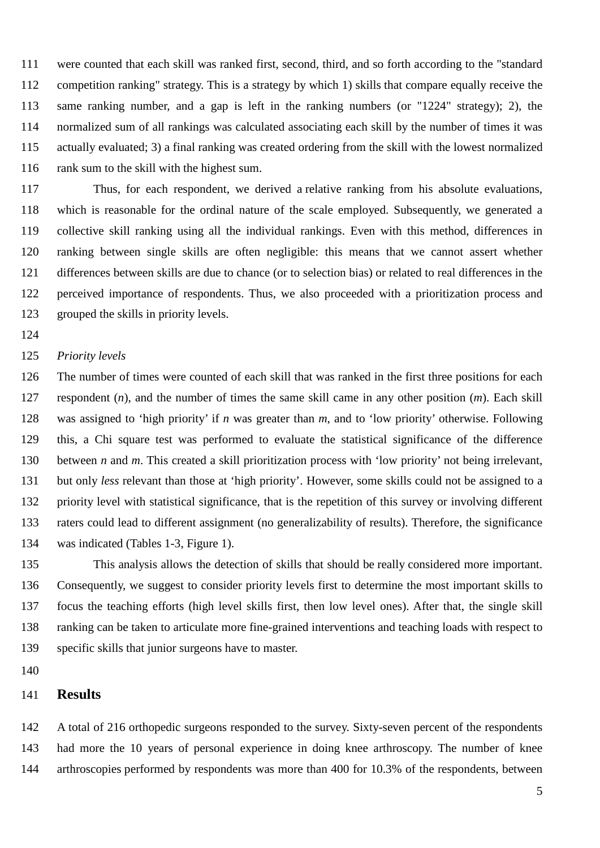were counted that each skill was ranked first, second, third, and so forth according to the "standard competition ranking" strategy. This is a strategy by which 1) skills that compare equally receive the same ranking number, and a gap is left in the ranking numbers (or "1224" strategy); 2), the normalized sum of all rankings was calculated associating each skill by the number of times it was actually evaluated; 3) a final ranking was created ordering from the skill with the lowest normalized rank sum to the skill with the highest sum.

 Thus, for each respondent, we derived a relative ranking from his absolute evaluations, which is reasonable for the ordinal nature of the scale employed. Subsequently, we generated a collective skill ranking using all the individual rankings. Even with this method, differences in ranking between single skills are often negligible: this means that we cannot assert whether differences between skills are due to chance (or to selection bias) or related to real differences in the perceived importance of respondents. Thus, we also proceeded with a prioritization process and grouped the skills in priority levels.

#### *Priority levels*

 The number of times were counted of each skill that was ranked in the first three positions for each respondent (*n*), and the number of times the same skill came in any other position (*m*). Each skill was assigned to 'high priority' if *n* was greater than *m*, and to 'low priority' otherwise. Following this, a Chi square test was performed to evaluate the statistical significance of the difference between *n* and *m*. This created a skill prioritization process with 'low priority' not being irrelevant, but only *less* relevant than those at 'high priority'. However, some skills could not be assigned to a priority level with statistical significance, that is the repetition of this survey or involving different raters could lead to different assignment (no generalizability of results). Therefore, the significance was indicated (Tables 1-3, Figure 1).

 This analysis allows the detection of skills that should be really considered more important. Consequently, we suggest to consider priority levels first to determine the most important skills to focus the teaching efforts (high level skills first, then low level ones). After that, the single skill ranking can be taken to articulate more fine-grained interventions and teaching loads with respect to specific skills that junior surgeons have to master.

## **Results**

 A total of 216 orthopedic surgeons responded to the survey. Sixty-seven percent of the respondents had more the 10 years of personal experience in doing knee arthroscopy. The number of knee arthroscopies performed by respondents was more than 400 for 10.3% of the respondents, between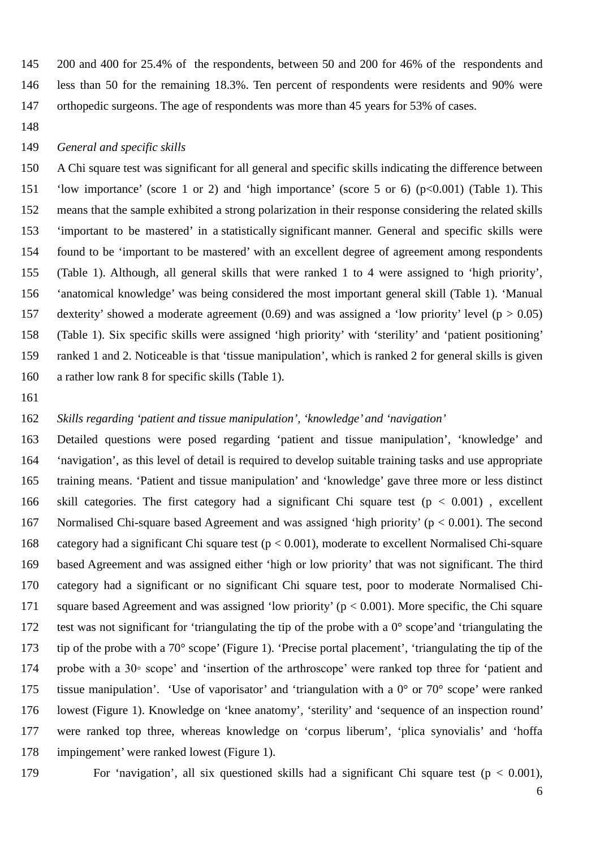200 and 400 for 25.4% of the respondents, between 50 and 200 for 46% of the respondents and less than 50 for the remaining 18.3%. Ten percent of respondents were residents and 90% were 147 orthopedic surgeons. The age of respondents was more than 45 years for 53% of cases.

#### *General and specific skills*

 A Chi square test was significant for all general and specific skills indicating the difference between 'low importance' (score 1 or 2) and 'high importance' (score 5 or 6) (p<0.001) (Table 1). This means that the sample exhibited a strong polarization in their response considering the related skills 'important to be mastered' in a statistically significant manner. General and specific skills were found to be 'important to be mastered' with an excellent degree of agreement among respondents (Table 1). Although, all general skills that were ranked 1 to 4 were assigned to 'high priority', 'anatomical knowledge' was being considered the most important general skill (Table 1). 'Manual 157 dexterity' showed a moderate agreement (0.69) and was assigned a 'low priority' level ( $p > 0.05$ ) (Table 1). Six specific skills were assigned 'high priority' with 'sterility' and 'patient positioning' ranked 1 and 2. Noticeable is that 'tissue manipulation', which is ranked 2 for general skills is given a rather low rank 8 for specific skills (Table 1).

#### *Skills regarding 'patient and tissue manipulation', 'knowledge' and 'navigation'*

 Detailed questions were posed regarding 'patient and tissue manipulation', 'knowledge' and 'navigation', as this level of detail is required to develop suitable training tasks and use appropriate training means. 'Patient and tissue manipulation' and 'knowledge' gave three more or less distinct 166 skill categories. The first category had a significant Chi square test ( $p < 0.001$ ), excellent Normalised Chi-square based Agreement and was assigned 'high priority' (p < 0.001). The second category had a significant Chi square test (p < 0.001), moderate to excellent Normalised Chi-square based Agreement and was assigned either 'high or low priority' that was not significant. The third category had a significant or no significant Chi square test, poor to moderate Normalised Chi- square based Agreement and was assigned 'low priority' (p < 0.001). More specific, the Chi square test was not significant for 'triangulating the tip of the probe with a 0° scope'and 'triangulating the tip of the probe with a 70° scope' (Figure 1). 'Precise portal placement', 'triangulating the tip of the probe with a 30◦ scope' and 'insertion of the arthroscope' were ranked top three for 'patient and 175 tissue manipulation'. 'Use of vaporisator' and 'triangulation with a  $0^{\circ}$  or  $70^{\circ}$  scope' were ranked lowest (Figure 1). Knowledge on 'knee anatomy', 'sterility' and 'sequence of an inspection round' were ranked top three, whereas knowledge on 'corpus liberum', 'plica synovialis' and 'hoffa impingement' were ranked lowest (Figure 1).

179 For 'navigation', all six questioned skills had a significant Chi square test ( $p < 0.001$ ),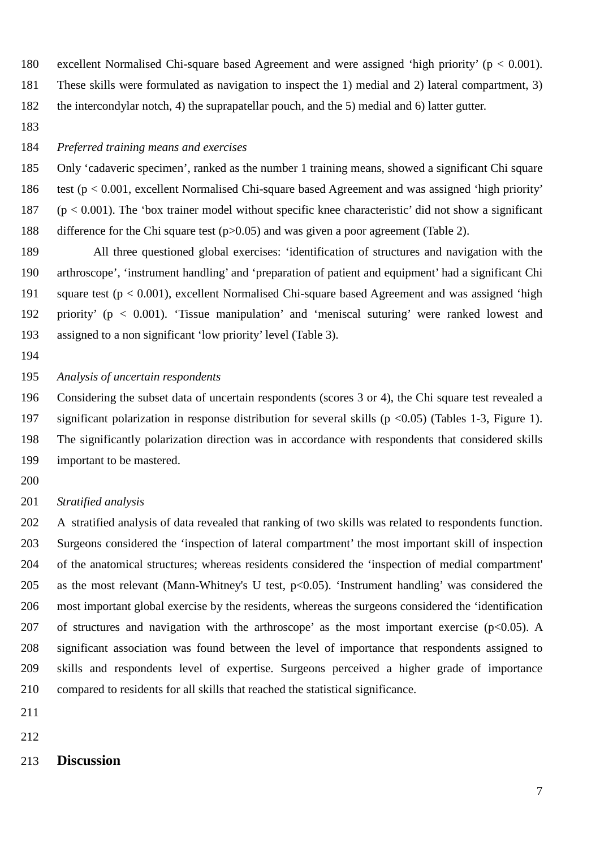excellent Normalised Chi-square based Agreement and were assigned 'high priority' (p < 0.001).

 These skills were formulated as navigation to inspect the 1) medial and 2) lateral compartment, 3) the intercondylar notch, 4) the suprapatellar pouch, and the 5) medial and 6) latter gutter.

#### *Preferred training means and exercises*

 Only 'cadaveric specimen', ranked as the number 1 training means, showed a significant Chi square 186 test  $(p < 0.001$ , excellent Normalised Chi-square based Agreement and was assigned 'high priority' 187 ( $p < 0.001$ ). The 'box trainer model without specific knee characteristic' did not show a significant difference for the Chi square test (p>0.05) and was given a poor agreement (Table 2).

 All three questioned global exercises: 'identification of structures and navigation with the arthroscope', 'instrument handling' and 'preparation of patient and equipment' had a significant Chi square test (p < 0.001), excellent Normalised Chi-square based Agreement and was assigned 'high priority' (p < 0.001). 'Tissue manipulation' and 'meniscal suturing' were ranked lowest and assigned to a non significant 'low priority' level (Table 3).

#### *Analysis of uncertain respondents*

 Considering the subset data of uncertain respondents (scores 3 or 4), the Chi square test revealed a significant polarization in response distribution for several skills (p <0.05) (Tables 1-3, Figure 1). The significantly polarization direction was in accordance with respondents that considered skills important to be mastered.

#### *Stratified analysis*

 A stratified analysis of data revealed that ranking of two skills was related to respondents function. Surgeons considered the 'inspection of lateral compartment' the most important skill of inspection of the anatomical structures; whereas residents considered the 'inspection of medial compartment' 205 as the most relevant (Mann-Whitney's U test, p<0.05). 'Instrument handling' was considered the most important global exercise by the residents, whereas the surgeons considered the 'identification 207 of structures and navigation with the arthroscope' as the most important exercise ( $p<0.05$ ). A significant association was found between the level of importance that respondents assigned to skills and respondents level of expertise. Surgeons perceived a higher grade of importance compared to residents for all skills that reached the statistical significance.

- 
- 

## **Discussion**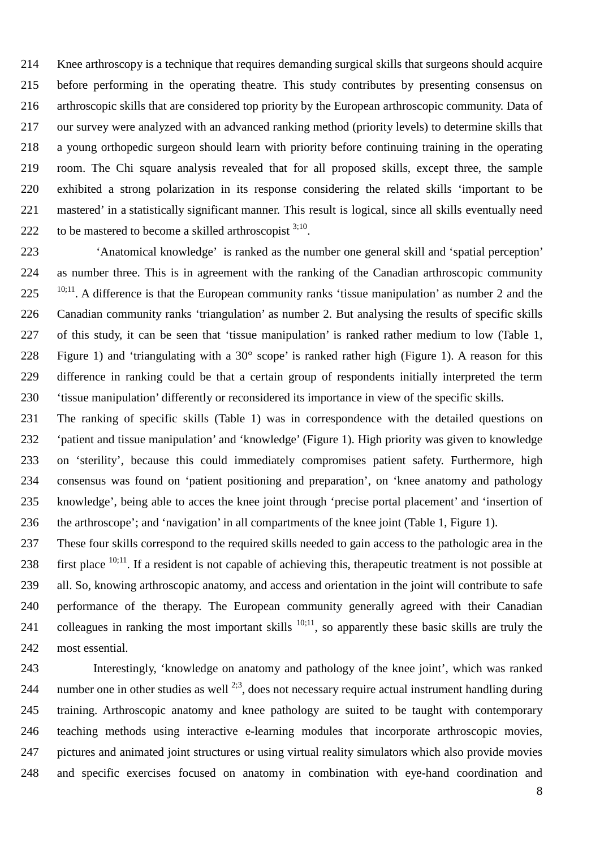Knee arthroscopy is a technique that requires demanding surgical skills that surgeons should acquire before performing in the operating theatre. This study contributes by presenting consensus on arthroscopic skills that are considered top priority by the European arthroscopic community. Data of our survey were analyzed with an advanced ranking method (priority levels) to determine skills that a young orthopedic surgeon should learn with priority before continuing training in the operating room. The Chi square analysis revealed that for all proposed skills, except three, the sample exhibited a strong polarization in its response considering the related skills 'important to be mastered' in a statistically significant manner. This result is logical, since all skills eventually need 222 to be mastered to become a skilled arthroscopist  $3,10$ .

 'Anatomical knowledge' is ranked as the number one general skill and 'spatial perception' as number three. This is in agreement with the ranking of the Canadian arthroscopic community  $10;11$ . A difference is that the European community ranks 'tissue manipulation' as number 2 and the Canadian community ranks 'triangulation' as number 2. But analysing the results of specific skills of this study, it can be seen that 'tissue manipulation' is ranked rather medium to low (Table 1, Figure 1) and 'triangulating with a 30° scope' is ranked rather high (Figure 1). A reason for this difference in ranking could be that a certain group of respondents initially interpreted the term 'tissue manipulation' differently or reconsidered its importance in view of the specific skills.

 The ranking of specific skills (Table 1) was in correspondence with the detailed questions on 'patient and tissue manipulation' and 'knowledge' (Figure 1). High priority was given to knowledge on 'sterility', because this could immediately compromises patient safety. Furthermore, high consensus was found on 'patient positioning and preparation', on 'knee anatomy and pathology knowledge', being able to acces the knee joint through 'precise portal placement' and 'insertion of the arthroscope'; and 'navigation' in all compartments of the knee joint (Table 1, Figure 1).

 These four skills correspond to the required skills needed to gain access to the pathologic area in the  $\cdot$  first place  $^{10;11}$ . If a resident is not capable of achieving this, therapeutic treatment is not possible at all. So, knowing arthroscopic anatomy, and access and orientation in the joint will contribute to safe performance of the therapy. The European community generally agreed with their Canadian 241 colleagues in ranking the most important skills  $10;11$ , so apparently these basic skills are truly the most essential.

 Interestingly, 'knowledge on anatomy and pathology of the knee joint', which was ranked 244 number one in other studies as well  $^{2,3}$ , does not necessary require actual instrument handling during training. Arthroscopic anatomy and knee pathology are suited to be taught with contemporary teaching methods using interactive e-learning modules that incorporate arthroscopic movies, pictures and animated joint structures or using virtual reality simulators which also provide movies and specific exercises focused on anatomy in combination with eye-hand coordination and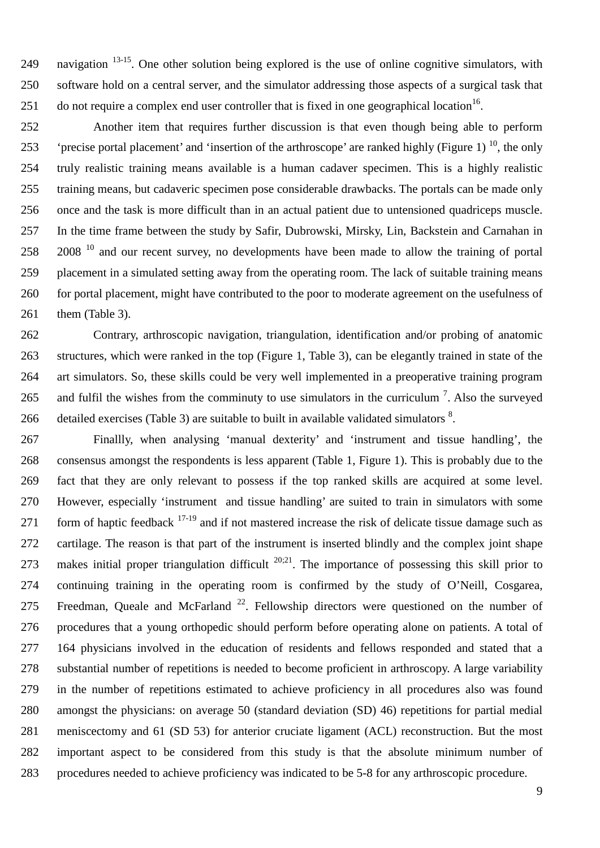249 . navigation  $13-15$ . One other solution being explored is the use of online cognitive simulators, with software hold on a central server, and the simulator addressing those aspects of a surgical task that 251 do not require a complex end user controller that is fixed in one geographical location .

 Another item that requires further discussion is that even though being able to perform  $^{\circ}$  'precise portal placement' and 'insertion of the arthroscope' are ranked highly (Figure 1)<sup>10</sup>, the only truly realistic training means available is a human cadaver specimen. This is a highly realistic training means, but cadaveric specimen pose considerable drawbacks. The portals can be made only once and the task is more difficult than in an actual patient due to untensioned quadriceps muscle. In the time frame between the study by Safir, Dubrowski, Mirsky, Lin, Backstein and Carnahan in 258 and our recent survey, no developments have been made to allow the training of portal placement in a simulated setting away from the operating room. The lack of suitable training means for portal placement, might have contributed to the poor to moderate agreement on the usefulness of 261 them (Table 3).

 Contrary, arthroscopic navigation, triangulation, identification and/or probing of anatomic structures, which were ranked in the top (Figure 1, Table 3), can be elegantly trained in state of the art simulators. So, these skills could be very well implemented in a preoperative training program 265 and fulfil the wishes from the comminuty to use simulators in the curriculum  $<sup>7</sup>$ . Also the surveyed</sup> 266 detailed exercises (Table 3) are suitable to built in available validated simulators  $\delta$ .

 Finallly, when analysing 'manual dexterity' and 'instrument and tissue handling', the consensus amongst the respondents is less apparent (Table 1, Figure 1). This is probably due to the fact that they are only relevant to possess if the top ranked skills are acquired at some level. However, especially 'instrument and tissue handling' are suited to train in simulators with some 271 form of haptic feedback  $17-19$  and if not mastered increase the risk of delicate tissue damage such as cartilage. The reason is that part of the instrument is inserted blindly and the complex joint shape 273 makes initial proper triangulation difficult  $20:21$ . The importance of possessing this skill prior to continuing training in the operating room is confirmed by the study of O'Neill, Cosgarea, 275 Freedman, Queale and McFarland<sup>22</sup>. Fellowship directors were questioned on the number of procedures that a young orthopedic should perform before operating alone on patients. A total of 164 physicians involved in the education of residents and fellows responded and stated that a substantial number of repetitions is needed to become proficient in arthroscopy. A large variability in the number of repetitions estimated to achieve proficiency in all procedures also was found amongst the physicians: on average 50 (standard deviation (SD) 46) repetitions for partial medial meniscectomy and 61 (SD 53) for anterior cruciate ligament (ACL) reconstruction. But the most important aspect to be considered from this study is that the absolute minimum number of procedures needed to achieve proficiency was indicated to be 5-8 for any arthroscopic procedure.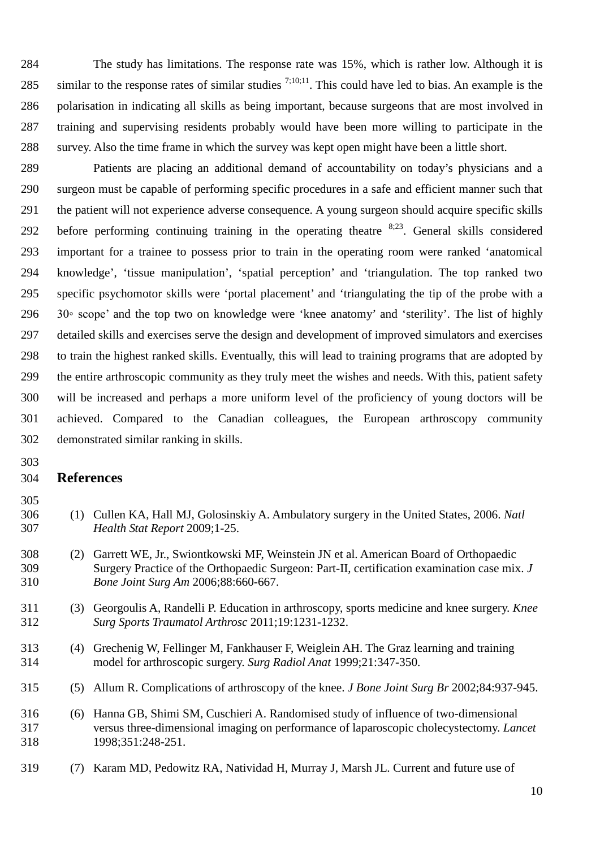The study has limitations. The response rate was 15%, which is rather low. Although it is 285 similar to the response rates of similar studies  $^{7;10;11}$ . This could have led to bias. An example is the polarisation in indicating all skills as being important, because surgeons that are most involved in training and supervising residents probably would have been more willing to participate in the survey. Also the time frame in which the survey was kept open might have been a little short.

 Patients are placing an additional demand of accountability on today's physicians and a surgeon must be capable of performing specific procedures in a safe and efficient manner such that the patient will not experience adverse consequence. A young surgeon should acquire specific skills 292 before performing continuing training in the operating theatre  $8,23$ . General skills considered important for a trainee to possess prior to train in the operating room were ranked 'anatomical knowledge', 'tissue manipulation', 'spatial perception' and 'triangulation. The top ranked two specific psychomotor skills were 'portal placement' and 'triangulating the tip of the probe with a 30◦ scope' and the top two on knowledge were 'knee anatomy' and 'sterility'. The list of highly detailed skills and exercises serve the design and development of improved simulators and exercises to train the highest ranked skills. Eventually, this will lead to training programs that are adopted by the entire arthroscopic community as they truly meet the wishes and needs. With this, patient safety will be increased and perhaps a more uniform level of the proficiency of young doctors will be achieved. Compared to the Canadian colleagues, the European arthroscopy community demonstrated similar ranking in skills.

#### **References**

- 
- (1) Cullen KA, Hall MJ, Golosinskiy A. Ambulatory surgery in the United States, 2006. *Natl Health Stat Report* 2009;1-25.
- (2) Garrett WE, Jr., Swiontkowski MF, Weinstein JN et al. American Board of Orthopaedic Surgery Practice of the Orthopaedic Surgeon: Part-II, certification examination case mix. *J Bone Joint Surg Am* 2006;88:660-667.
- (3) Georgoulis A, Randelli P. Education in arthroscopy, sports medicine and knee surgery. *Knee Surg Sports Traumatol Arthrosc* 2011;19:1231-1232.
- (4) Grechenig W, Fellinger M, Fankhauser F, Weiglein AH. The Graz learning and training model for arthroscopic surgery. *Surg Radiol Anat* 1999;21:347-350.
- (5) Allum R. Complications of arthroscopy of the knee. *J Bone Joint Surg Br* 2002;84:937-945.
- (6) Hanna GB, Shimi SM, Cuschieri A. Randomised study of influence of two-dimensional versus three-dimensional imaging on performance of laparoscopic cholecystectomy. *Lancet* 1998;351:248-251.
- (7) Karam MD, Pedowitz RA, Natividad H, Murray J, Marsh JL. Current and future use of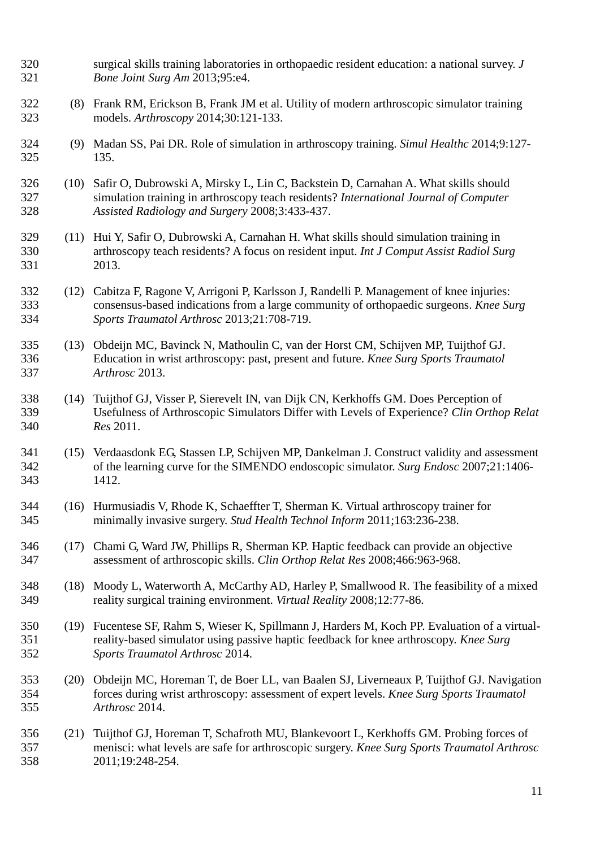| 320<br>321        |      | surgical skills training laboratories in orthopaedic resident education: a national survey. J<br>Bone Joint Surg Am 2013;95:e4.                                                                                               |
|-------------------|------|-------------------------------------------------------------------------------------------------------------------------------------------------------------------------------------------------------------------------------|
| 322<br>323        |      | (8) Frank RM, Erickson B, Frank JM et al. Utility of modern arthroscopic simulator training<br>models. Arthroscopy 2014;30:121-133.                                                                                           |
| 324<br>325        | (9)  | Madan SS, Pai DR. Role of simulation in arthroscopy training. Simul Healthc 2014;9:127-<br>135.                                                                                                                               |
| 326<br>327<br>328 | (10) | Safir O, Dubrowski A, Mirsky L, Lin C, Backstein D, Carnahan A. What skills should<br>simulation training in arthroscopy teach residents? International Journal of Computer<br>Assisted Radiology and Surgery 2008;3:433-437. |
| 329<br>330<br>331 | (11) | Hui Y, Safir O, Dubrowski A, Carnahan H. What skills should simulation training in<br>arthroscopy teach residents? A focus on resident input. Int J Comput Assist Radiol Surg<br>2013.                                        |
| 332<br>333<br>334 | (12) | Cabitza F, Ragone V, Arrigoni P, Karlsson J, Randelli P. Management of knee injuries:<br>consensus-based indications from a large community of orthopaedic surgeons. Knee Surg<br>Sports Traumatol Arthrosc 2013;21:708-719.  |
| 335<br>336<br>337 | (13) | Obdeijn MC, Bavinck N, Mathoulin C, van der Horst CM, Schijven MP, Tuijthof GJ.<br>Education in wrist arthroscopy: past, present and future. Knee Surg Sports Traumatol<br>Arthrosc 2013.                                     |
| 338<br>339<br>340 | (14) | Tuijthof GJ, Visser P, Sierevelt IN, van Dijk CN, Kerkhoffs GM. Does Perception of<br>Usefulness of Arthroscopic Simulators Differ with Levels of Experience? Clin Orthop Relat<br>Res 2011.                                  |
| 341<br>342<br>343 |      | (15) Verdaasdonk EG, Stassen LP, Schijven MP, Dankelman J. Construct validity and assessment<br>of the learning curve for the SIMENDO endoscopic simulator. Surg Endosc 2007;21:1406-<br>1412.                                |
| 344<br>345        | (16) | Hurmusiadis V, Rhode K, Schaeffter T, Sherman K. Virtual arthroscopy trainer for<br>minimally invasive surgery. Stud Health Technol Inform 2011;163:236-238.                                                                  |
| 346<br>347        | (17) | Chami G, Ward JW, Phillips R, Sherman KP. Haptic feedback can provide an objective<br>assessment of arthroscopic skills. Clin Orthop Relat Res 2008;466:963-968.                                                              |
| 348<br>349        | (18) | Moody L, Waterworth A, McCarthy AD, Harley P, Smallwood R. The feasibility of a mixed<br>reality surgical training environment. Virtual Reality 2008;12:77-86.                                                                |
| 350<br>351<br>352 |      | (19) Fucentese SF, Rahm S, Wieser K, Spillmann J, Harders M, Koch PP. Evaluation of a virtual-<br>reality-based simulator using passive haptic feedback for knee arthroscopy. Knee Surg<br>Sports Traumatol Arthrosc 2014.    |
| 353<br>354<br>355 | (20) | Obdeijn MC, Horeman T, de Boer LL, van Baalen SJ, Liverneaux P, Tuijthof GJ. Navigation<br>forces during wrist arthroscopy: assessment of expert levels. Knee Surg Sports Traumatol<br>Arthrosc 2014.                         |
| 356<br>357<br>358 | (21) | Tuijthof GJ, Horeman T, Schafroth MU, Blankevoort L, Kerkhoffs GM. Probing forces of<br>menisci: what levels are safe for arthroscopic surgery. Knee Surg Sports Traumatol Arthrosc<br>2011;19:248-254.                       |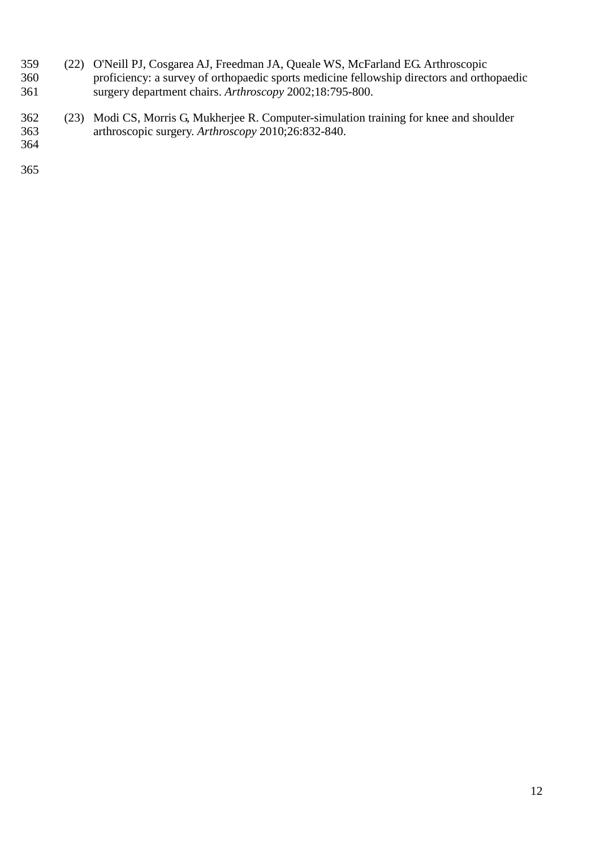- (22) O'Neill PJ, Cosgarea AJ, Freedman JA, Queale WS, McFarland EG. Arthroscopic proficiency: a survey of orthopaedic sports medicine fellowship directors and orthopaedic surgery department chairs. *Arthroscopy* 2002;18:795-800.
- (23) Modi CS, Morris G, Mukherjee R. Computer-simulation training for knee and shoulder arthroscopic surgery. *Arthroscopy* 2010;26:832-840.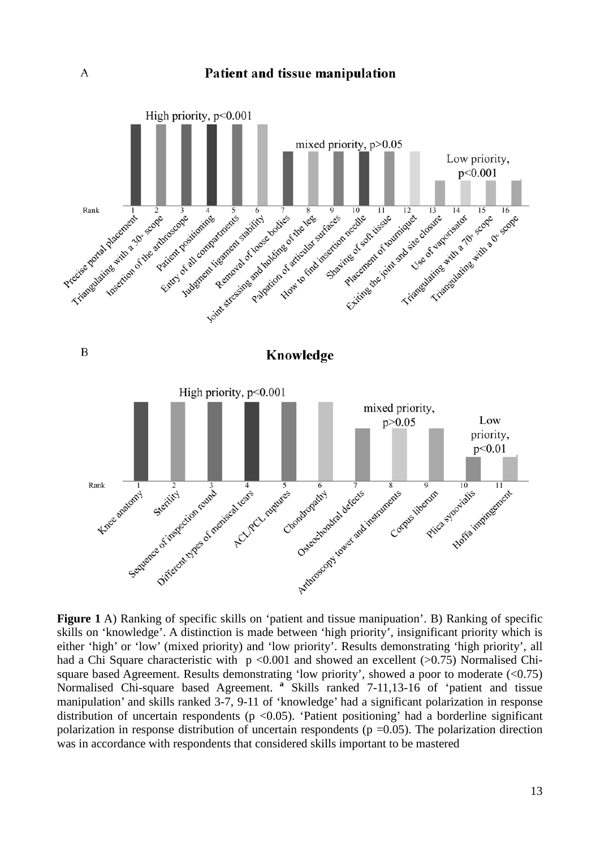

skills on 'knowledge'. A distinction is made between 'high priority', insignificant priority which is either 'high' or 'low' (mixed priority) and 'low priority'. Results demonstrating 'high priority', all had a Chi Square characteristic with  $p \le 0.001$  and showed an excellent ( $>0.75$ ) Normalised Chisquare based Agreement. Results demonstrating 'low priority', showed a poor to moderate (<0.75) Normalised Chi-square based Agreement. **<sup>a</sup>** Skills ranked 7-11,13-16 of 'patient and tissue manipulation' and skills ranked 3-7, 9-11 of 'knowledge' had a significant polarization in response distribution of uncertain respondents ( $p \le 0.05$ ). 'Patient positioning' had a borderline significant polarization in response distribution of uncertain respondents ( $p = 0.05$ ). The polarization direction was in accordance with respondents that considered skills important to be mastered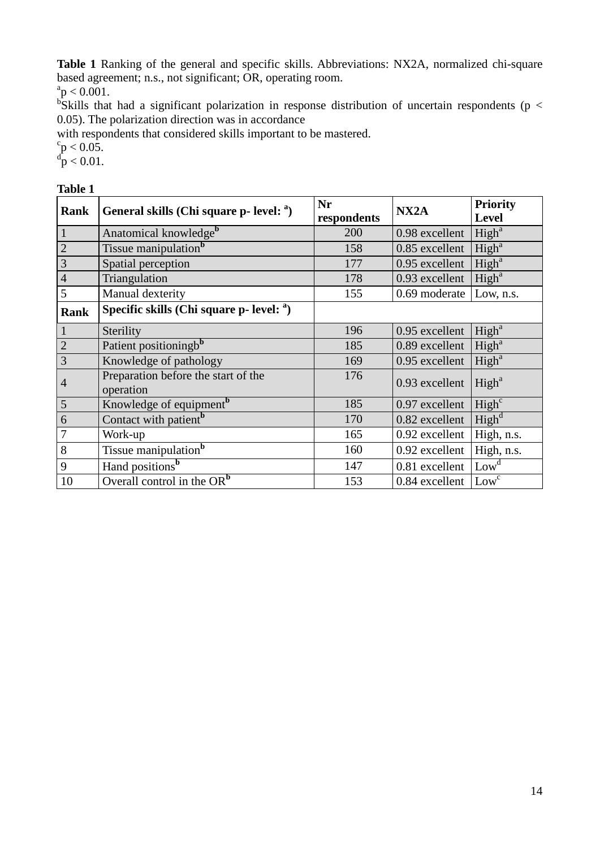**Table 1** Ranking of the general and specific skills. Abbreviations: NX2A, normalized chi-square based agreement; n.s., not significant; OR, operating room.

 $a_p < 0.001$ .

 $\overline{b}$ Skills that had a significant polarization in response distribution of uncertain respondents (p < 0.05). The polarization direction was in accordance

with respondents that considered skills important to be mastered.

# ${}^{c}_{\rm p}$  < 0.05.<br> ${}^{d}_{\rm p}$  < 0.01.

| <b>Rank</b>    | General skills (Chi square p- level: <sup>a</sup> ) | Nr<br>respondents | NX <sub>2</sub> A | <b>Priority</b><br><b>Level</b> |
|----------------|-----------------------------------------------------|-------------------|-------------------|---------------------------------|
| $\mathbf{1}$   | Anatomical knowledge <sup>b</sup>                   | 200               | 0.98 excellent    | High <sup>a</sup>               |
| $\overline{c}$ | Tissue manipulation <sup>b</sup>                    | 158               | 0.85 excellent    | High <sup>a</sup>               |
| 3              | Spatial perception                                  | 177               | 0.95 excellent    | High <sup>a</sup>               |
| $\overline{4}$ | Triangulation                                       | 178               | 0.93 excellent    | High <sup>a</sup>               |
| 5              | Manual dexterity                                    | 155               | 0.69 moderate     | Low, n.s.                       |
| <b>Rank</b>    | Specific skills (Chi square $p$ - level: $a$ )      |                   |                   |                                 |
| $\mathbf{1}$   | Sterility                                           | 196               | 0.95 excellent    | High <sup>a</sup>               |
| $\overline{2}$ | Patient positioningb <sup>b</sup>                   | 185               | 0.89 excellent    | High <sup>a</sup>               |
| 3              | Knowledge of pathology                              | 169               | 0.95 excellent    | High <sup>a</sup>               |
| 4              | Preparation before the start of the<br>operation    | 176               | 0.93 excellent    | High <sup>a</sup>               |
| 5              | Knowledge of equipment <sup>b</sup>                 | 185               | 0.97 excellent    | High <sup>c</sup>               |
| 6              | Contact with patient <sup>b</sup>                   | 170               | 0.82 excellent    | High <sup>d</sup>               |
| 7              | Work-up                                             | 165               | 0.92 excellent    | High, n.s.                      |
| 8              | Tissue manipulation <sup>b</sup>                    | 160               | 0.92 excellent    | High, n.s.                      |
| 9              | Hand positions <sup>b</sup>                         | 147               | 0.81 excellent    | Low <sup>d</sup>                |
| 10             | Overall control in the $OR^b$                       | 153               | 0.84 excellent    | Low <sup>c</sup>                |

## **Table 1**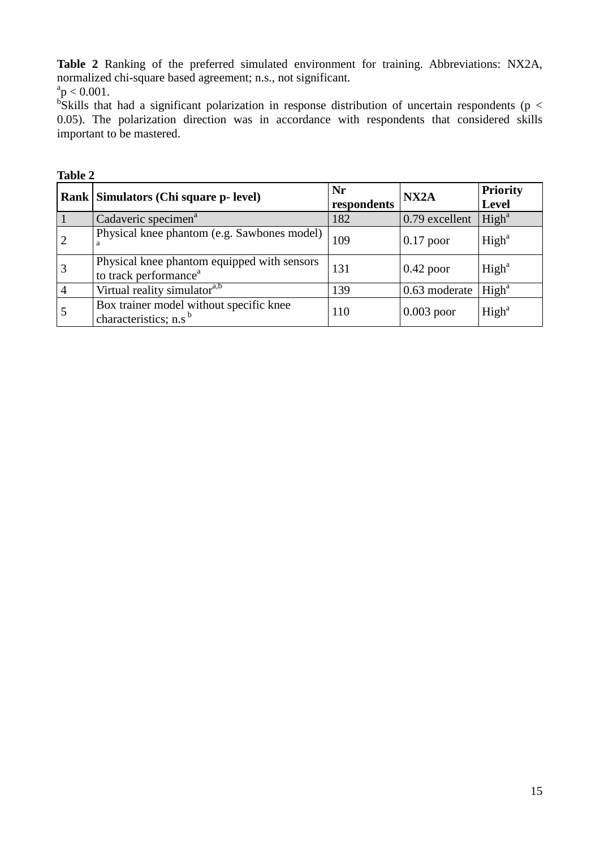**Table 2** Ranking of the preferred simulated environment for training. Abbreviations: NX2A, normalized chi-square based agreement; n.s., not significant.

 $a$ <sup>a</sup> $p < 0.001$ .

 $\overline{b}$ Skills that had a significant polarization in response distribution of uncertain respondents (p < 0.05). The polarization direction was in accordance with respondents that considered skills important to be mastered.

| Table 2 |                                                                                  |                   |                   |                                 |  |
|---------|----------------------------------------------------------------------------------|-------------------|-------------------|---------------------------------|--|
|         | Rank   Simulators (Chi square p- level)                                          | Nr<br>respondents | NX <sub>2</sub> A | <b>Priority</b><br><b>Level</b> |  |
|         | Cadaveric specimen <sup>a</sup>                                                  | 182               | $0.79$ excellent  | High <sup>a</sup>               |  |
|         | Physical knee phantom (e.g. Sawbones model)                                      | 109               | $0.17$ poor       | High <sup>a</sup>               |  |
|         | Physical knee phantom equipped with sensors<br>to track performance <sup>a</sup> | 131               | $0.42$ poor       | High <sup>a</sup>               |  |
|         | Virtual reality simulator <sup>a,b</sup>                                         | 139               | 0.63 moderate     | High <sup>a</sup>               |  |
|         | Box trainer model without specific knee<br>characteristics; n.s <sup>b</sup>     | 110               | $0.003$ poor      | High <sup>a</sup>               |  |

# **Table 2**